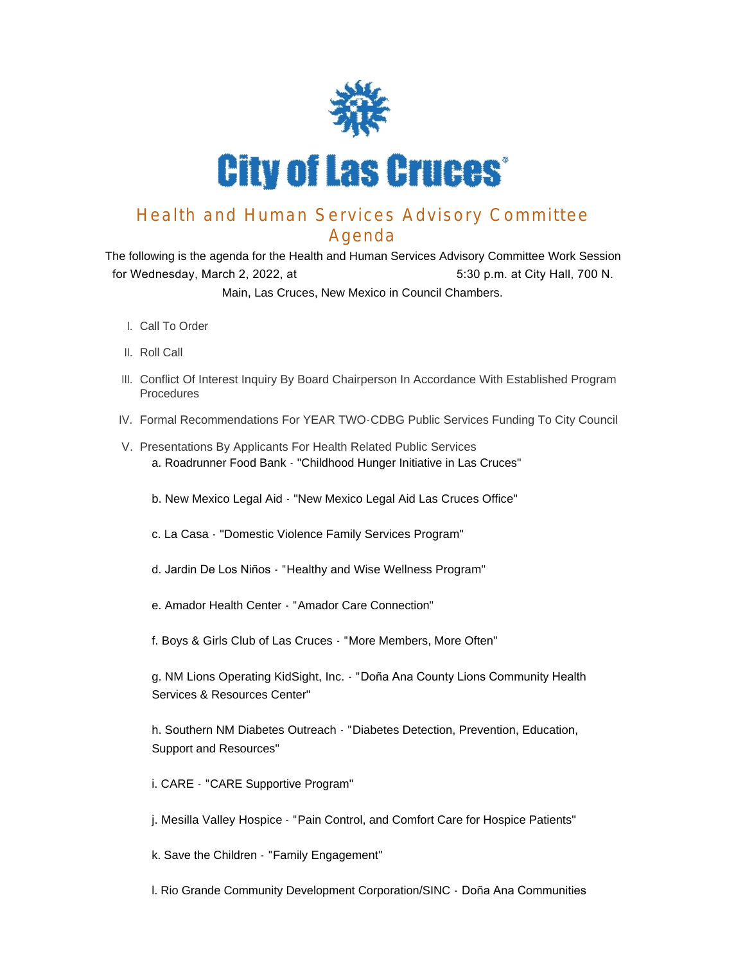

## Health and Human Services Advisory Committee Agenda

The following is the agenda for the Health and Human Services Advisory Committee Work Session for Wednesday, March 2, 2022, at 5:30 p.m. at City Hall, 700 N. Main, Las Cruces, New Mexico in Council Chambers.

- l. Call To Order
- II. Roll Call
- III. Conflict Of Interest Inquiry By Board Chairperson In Accordance With Established Program Procedures
- IV. Formal Recommendations For YEAR TWO-CDBG Public Services Funding To City Council
- V. Presentations By Applicants For Health Related Public Services a. Roadrunner Food Bank - "Childhood Hunger Initiative in Las Cruces"
	- b. New Mexico Legal Aid "New Mexico Legal Aid Las Cruces Office"
	- c. La Casa "Domestic Violence Family Services Program"
	- d. Jardin De Los Niños "Healthy and Wise Wellness Program"
	- e. Amador Health Center "Amador Care Connection"

f. Boys & Girls Club of Las Cruces - "More Members, More Often"

g. NM Lions Operating KidSight, Inc. - "Doña Ana County Lions Community Health Services & Resources Center"

h. Southern NM Diabetes Outreach - "Diabetes Detection, Prevention, Education, Support and Resources"

i. CARE - "CARE Supportive Program"

j. Mesilla Valley Hospice - "Pain Control, and Comfort Care for Hospice Patients"

k. Save the Children - "Family Engagement"

l. Rio Grande Community Development Corporation/SINC - Doña Ana Communities